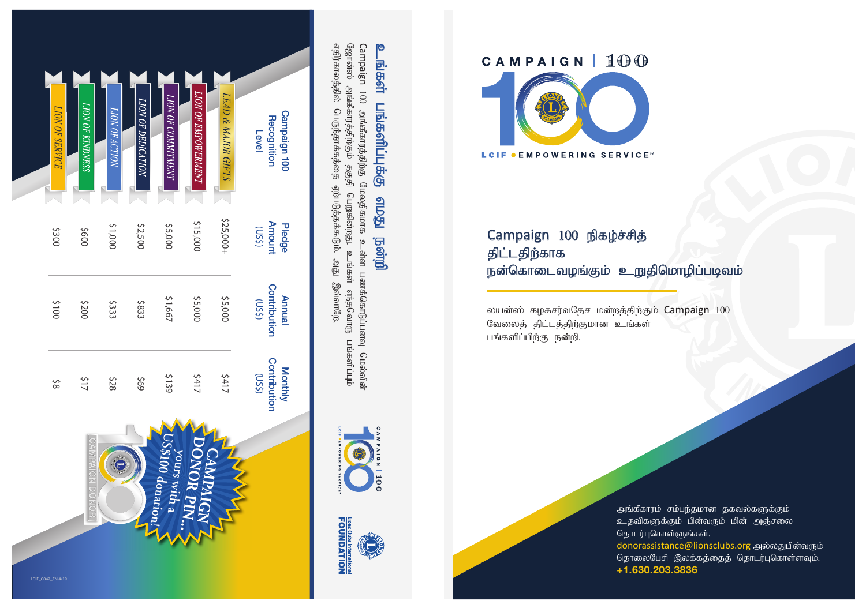

# $\circ$

உங்கள் பங்களிப்புக்கு எமது நன்றி

ளும் நன்றி

ந்கள் பங்களிப்புக்கு

ုဗ

Campaign 100 அங்கீகாரத்திற்கு மேலதிகமாக உள்ள பணக்கொடுப்பளவு மெல்வின்

ஜோன்ஸ், அங்கீகாரத்திற்கும் தகுதி பெறுகின்றது. உங்கள் எந்தவொரு பங்களிப்பும்

ஜோன்ஸ் அங்கீகாரத்திற்கும் தகுதி பெறுகின்றது. உங்கள் எந்தவொரு பங்களிப்பும்

எதிர்காலத்தில் பெருந்தாக்கத்தை ஏற்படுத்தக்கூடும். அது இவ்வாறே;

இவ்வாறே,

எதிர்காலத்தில் பெருந்தாக்கத்தை ஏற்படுத்தக்கூடும். அது

100 அங்கீகாரத்திற்கு மேலதிகமாக உள்ள பணக்கொடுப்பளை மெல்வின்



# CAMPAIGN | 100



# Campaign 100 நிகழ்ச்சித் திட்டதிற்காக நன்கொடைவழங்கும் உறுதிமொழிப்படிவம்

லயன்ஸ் கழகசர்வதேச மன்றத்திற்கும் Campaign 100 வேலைத் திட்டத்திற்குமான உங்கள் பங்களிப்பிற்கு நன்றி.

> அங்கீகாரம் சம்பந்தமான தகவல்களுக்கும் <u>உதவிகளுக்கும் பின்வரும் மின்</u> அஞ்சலை தொடர்புகொள்ளுங்கள். donorassistance@lionsclubs.org அல்லதுபின்வரும் தொலைபேசி இலக்கத்தைத் தொடர்புகொள்ளவும். **+1.630.203.3836**